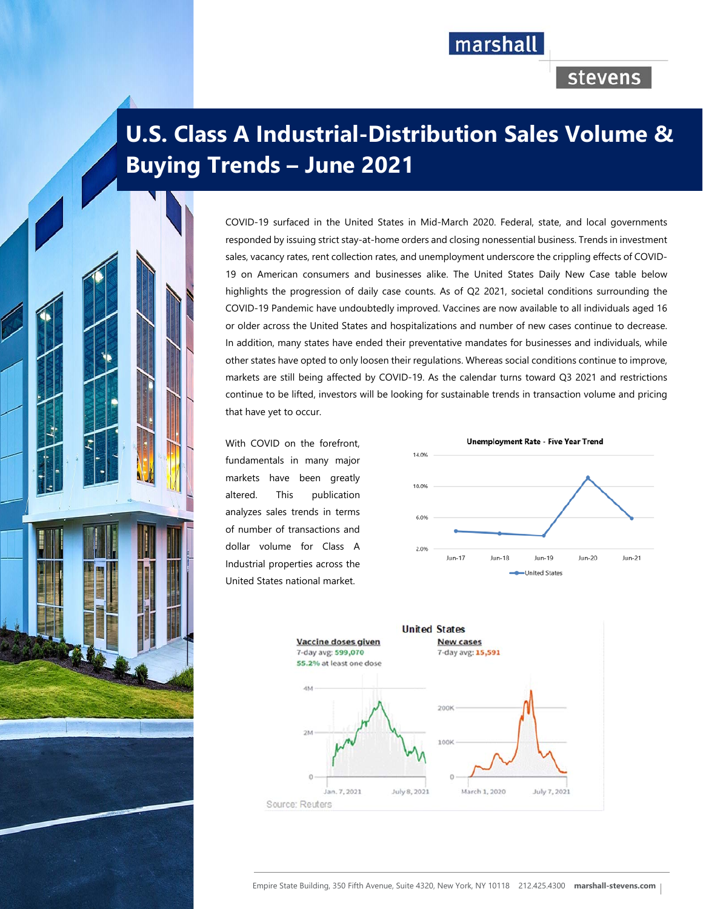## marshall

## stevens

# **U.S. Class A Industrial-Distribution Sales Volume & Buying Trends – June 2021**

COVID-19 surfaced in the United States in Mid-March 2020. Federal, state, and local governments responded by issuing strict stay-at-home orders and closing nonessential business. Trends in investment sales, vacancy rates, rent collection rates, and unemployment underscore the crippling effects of COVID-19 on American consumers and businesses alike. The United States Daily New Case table below highlights the progression of daily case counts. As of Q2 2021, societal conditions surrounding the COVID-19 Pandemic have undoubtedly improved. Vaccines are now available to all individuals aged 16 or older across the United States and hospitalizations and number of new cases continue to decrease. In addition, many states have ended their preventative mandates for businesses and individuals, while other states have opted to only loosen their regulations. Whereas social conditions continue to improve, markets are still being affected by COVID-19. As the calendar turns toward Q3 2021 and restrictions continue to be lifted, investors will be looking for sustainable trends in transaction volume and pricing that have yet to occur.

With COVID on the forefront, fundamentals in many major markets have been greatly altered. This publication analyzes sales trends in terms of number of transactions and dollar volume for Class A Industrial properties across the United States national market.



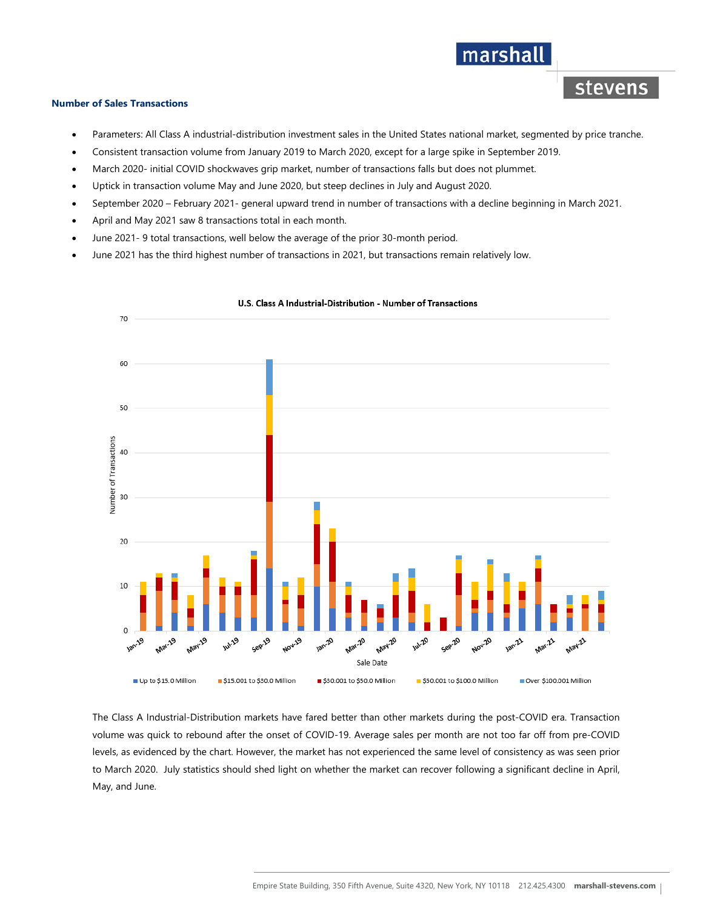#### **Number of Sales Transactions**

Parameters: All Class A industrial-distribution investment sales in the United States national market, segmented by price tranche.

marshall

stevens

- Consistent transaction volume from January 2019 to March 2020, except for a large spike in September 2019.
- March 2020- initial COVID shockwaves grip market, number of transactions falls but does not plummet.
- Uptick in transaction volume May and June 2020, but steep declines in July and August 2020.
- September 2020 February 2021- general upward trend in number of transactions with a decline beginning in March 2021.
- April and May 2021 saw 8 transactions total in each month.
- June 2021- 9 total transactions, well below the average of the prior 30-month period.
- June 2021 has the third highest number of transactions in 2021, but transactions remain relatively low.



#### U.S. Class A Industrial-Distribution - Number of Transactions

The Class A Industrial-Distribution markets have fared better than other markets during the post-COVID era. Transaction volume was quick to rebound after the onset of COVID-19. Average sales per month are not too far off from pre-COVID levels, as evidenced by the chart. However, the market has not experienced the same level of consistency as was seen prior to March 2020. July statistics should shed light on whether the market can recover following a significant decline in April, May, and June.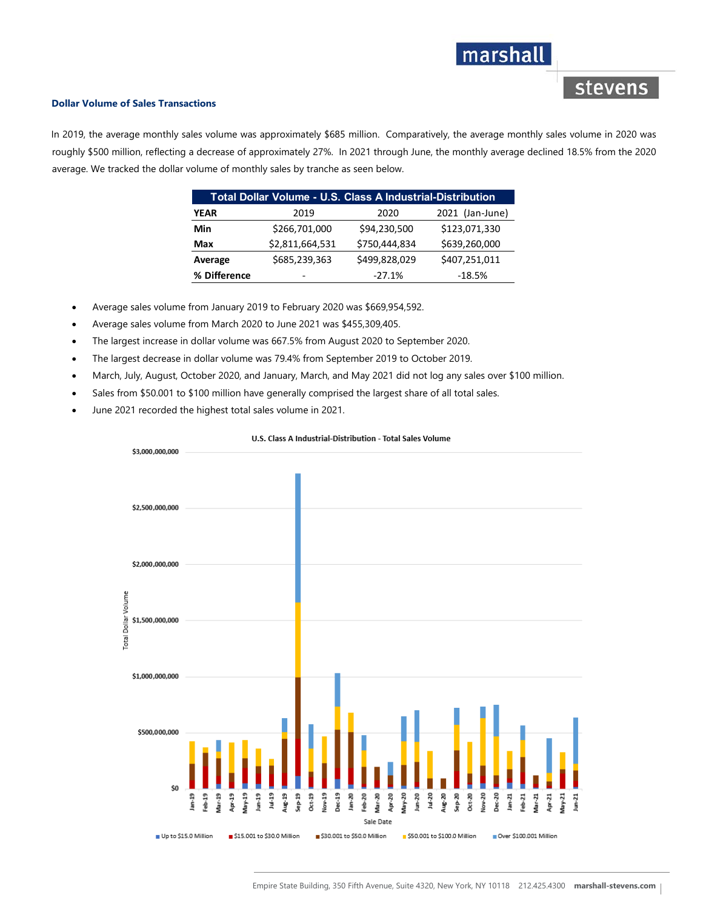## marshall

stevens

#### **Dollar Volume of Sales Transactions**

In 2019, the average monthly sales volume was approximately \$685 million. Comparatively, the average monthly sales volume in 2020 was roughly \$500 million, reflecting a decrease of approximately 27%. In 2021 through June, the monthly average declined 18.5% from the 2020 average. We tracked the dollar volume of monthly sales by tranche as seen below.

| Total Dollar Volume - U.S. Class A Industrial-Distribution |                 |               |                 |
|------------------------------------------------------------|-----------------|---------------|-----------------|
| <b>YEAR</b>                                                | 2019            | 2020          | 2021 (Jan-June) |
| Min                                                        | \$266,701,000   | \$94,230,500  | \$123,071,330   |
| Max                                                        | \$2,811,664,531 | \$750,444,834 | \$639,260,000   |
| Average                                                    | \$685,239,363   | \$499,828,029 | \$407,251,011   |
| % Difference                                               |                 | $-27.1%$      | $-18.5%$        |

- Average sales volume from January 2019 to February 2020 was \$669,954,592.
- Average sales volume from March 2020 to June 2021 was \$455,309,405.
- The largest increase in dollar volume was 667.5% from August 2020 to September 2020.
- The largest decrease in dollar volume was 79.4% from September 2019 to October 2019.
- March, July, August, October 2020, and January, March, and May 2021 did not log any sales over \$100 million.
- Sales from \$50.001 to \$100 million have generally comprised the largest share of all total sales.
- June 2021 recorded the highest total sales volume in 2021.